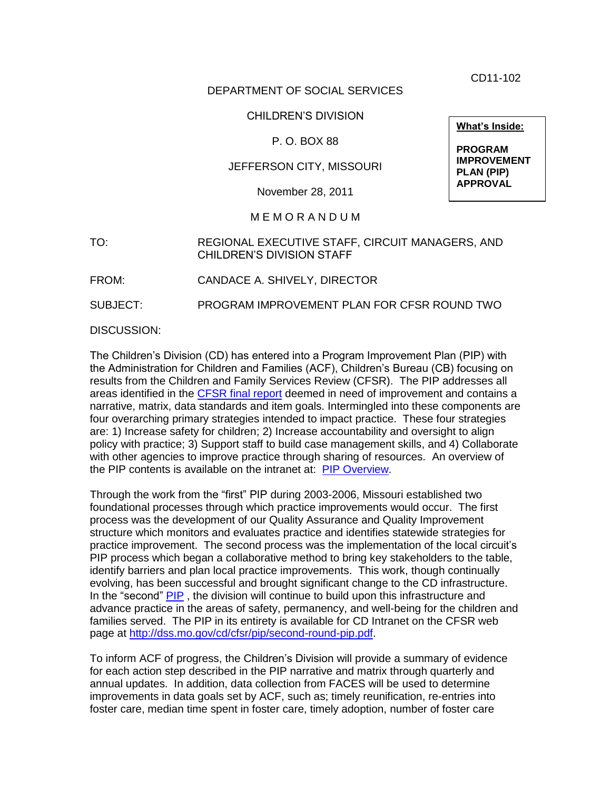CD11-102

# DEPARTMENT OF SOCIAL SERVICES

## CHILDREN'S DIVISION

## P. O. BOX 88

# JEFFERSON CITY, MISSOURI

November 28, 2011

#### M E M O R A N D U M

TO: REGIONAL EXECUTIVE STAFF, CIRCUIT MANAGERS, AND CHILDREN'S DIVISION STAFF

FROM: CANDACE A. SHIVELY, DIRECTOR

SUBJECT: PROGRAM IMPROVEMENT PLAN FOR CFSR ROUND TWO

DISCUSSION:

The Children's Division (CD) has entered into a Program Improvement Plan (PIP) with the Administration for Children and Families (ACF), Children's Bureau (CB) focusing on results from the Children and Family Services Review (CFSR). The PIP addresses all areas identified in the [CFSR final report](http://dss.mo.gov/cd/cfsr/final-round2.pdf) deemed in need of improvement and contains a narrative, matrix, data standards and item goals. Intermingled into these components are four overarching primary strategies intended to impact practice. These four strategies are: 1) Increase safety for children; 2) Increase accountability and oversight to align policy with practice; 3) Support staff to build case management skills, and 4) Collaborate with other agencies to improve practice through sharing of resources. An overview of the PIP contents is available on the intranet at: [PIP Overview.](http://dssweb/cs/planning_performance_management/cfsr/pip_overview.pdf)

Through the work from the "first" PIP during 2003-2006, Missouri established two foundational processes through which practice improvements would occur. The first process was the development of our Quality Assurance and Quality Improvement structure which monitors and evaluates practice and identifies statewide strategies for practice improvement. The second process was the implementation of the local circuit's PIP process which began a collaborative method to bring key stakeholders to the table, identify barriers and plan local practice improvements. This work, though continually evolving, has been successful and brought significant change to the CD infrastructure. In the "second" [PIP](http://dss.mo.gov/cd/cfsr/pip/second-round-pip.pdf), the division will continue to build upon this infrastructure and advance practice in the areas of safety, permanency, and well-being for the children and families served. The PIP in its entirety is available for CD Intranet on the CFSR web page at [http://dss.mo.gov/cd/cfsr/pip/second-round-pip.pdf.](http://dss.mo.gov/cd/cfsr/pip/second-round-pip.pdf)

To inform ACF of progress, the Children's Division will provide a summary of evidence for each action step described in the PIP narrative and matrix through quarterly and annual updates. In addition, data collection from FACES will be used to determine improvements in data goals set by ACF, such as; timely reunification, re-entries into foster care, median time spent in foster care, timely adoption, number of foster care

**What's Inside:**

**PROGRAM IMPROVEMENT PLAN (PIP) APPROVAL**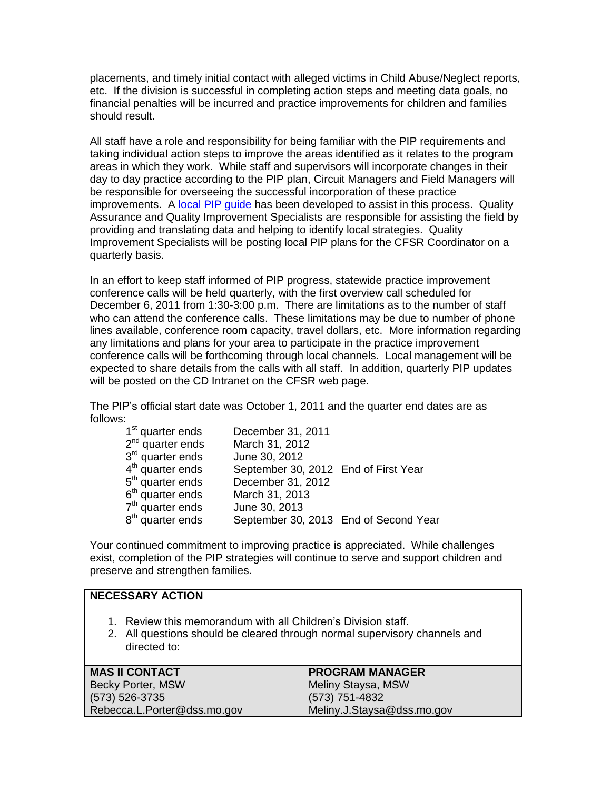placements, and timely initial contact with alleged victims in Child Abuse/Neglect reports, etc. If the division is successful in completing action steps and meeting data goals, no financial penalties will be incurred and practice improvements for children and families should result.

All staff have a role and responsibility for being familiar with the PIP requirements and taking individual action steps to improve the areas identified as it relates to the program areas in which they work. While staff and supervisors will incorporate changes in their day to day practice according to the PIP plan, Circuit Managers and Field Managers will be responsible for overseeing the successful incorporation of these practice improvements. A [local PIP guide](http://dssweb/cs/planning_performance_management/cfsr/pip_guide.pdf) has been developed to assist in this process. Quality Assurance and Quality Improvement Specialists are responsible for assisting the field by providing and translating data and helping to identify local strategies. Quality Improvement Specialists will be posting local PIP plans for the CFSR Coordinator on a quarterly basis.

In an effort to keep staff informed of PIP progress, statewide practice improvement conference calls will be held quarterly, with the first overview call scheduled for December 6, 2011 from 1:30-3:00 p.m. There are limitations as to the number of staff who can attend the conference calls. These limitations may be due to number of phone lines available, conference room capacity, travel dollars, etc. More information regarding any limitations and plans for your area to participate in the practice improvement conference calls will be forthcoming through local channels. Local management will be expected to share details from the calls with all staff. In addition, quarterly PIP updates will be posted on the CD Intranet on the CFSR web page.

The PIP's official start date was October 1, 2011 and the quarter end dates are as follows:

| 1 <sup>st</sup> quarter ends | December 31, 2011                     |  |
|------------------------------|---------------------------------------|--|
| $2nd$ quarter ends           | March 31, 2012                        |  |
| 3 <sup>rd</sup> quarter ends | June 30, 2012                         |  |
| $4th$ quarter ends           | September 30, 2012 End of First Year  |  |
| 5 <sup>th</sup> quarter ends | December 31, 2012                     |  |
| $6th$ quarter ends           | March 31, 2013                        |  |
| $7th$ quarter ends           | June 30, 2013                         |  |
| 8 <sup>th</sup> quarter ends | September 30, 2013 End of Second Year |  |

Your continued commitment to improving practice is appreciated. While challenges exist, completion of the PIP strategies will continue to serve and support children and preserve and strengthen families.

#### **NECESSARY ACTION**

- 1. Review this memorandum with all Children's Division staff.
- 2. All questions should be cleared through normal supervisory channels and directed to:

| <b>MAS II CONTACT</b>       | <b>PROGRAM MANAGER</b>     |
|-----------------------------|----------------------------|
| Becky Porter, MSW           | Meliny Staysa, MSW         |
| (573) 526-3735              | (573) 751-4832             |
| Rebecca.L.Porter@dss.mo.gov | Meliny.J.Staysa@dss.mo.gov |